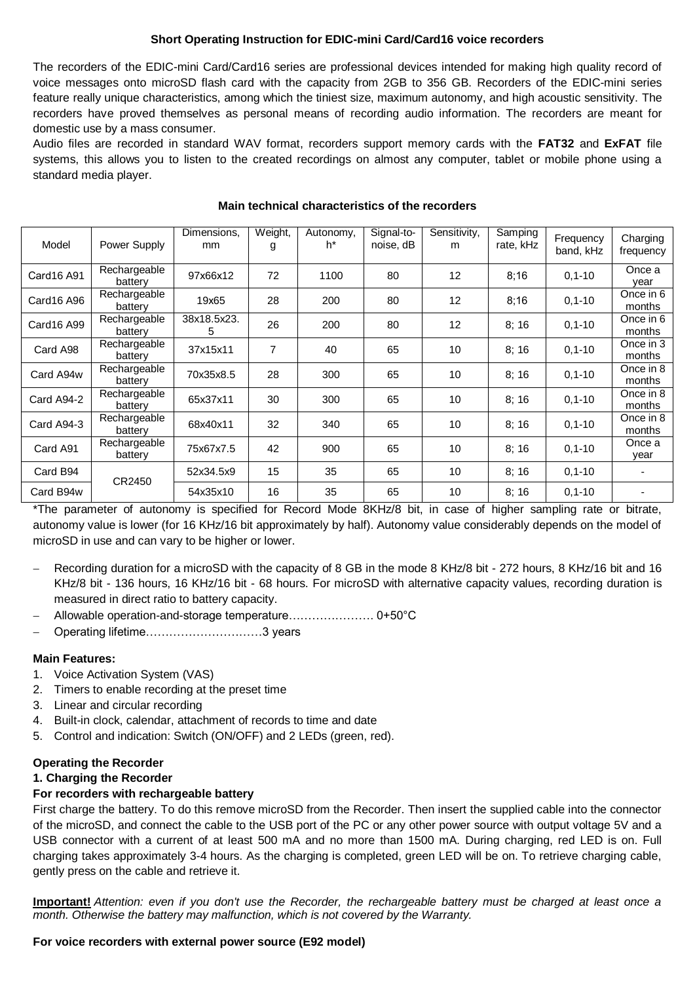# **Short Operating Instruction for EDIC-mini Card/Card16 voice recorders**

The recorders of the EDIC-mini Card/Card16 series are professional devices intended for making high quality record of voice messages onto microSD flash card with the capacity from 2GB to 356 GB. Recorders of the EDIC-mini series feature really unique characteristics, among which the tiniest size, maximum autonomy, and high acoustic sensitivity. The recorders have proved themselves as personal means of recording audio information. The recorders are meant for domestic use by a mass consumer.

Audio files are recorded in standard WAV format, recorders support memory cards with the **FAT32** and **ExFAT** file systems, this allows you to listen to the created recordings on almost any computer, tablet or mobile phone using a standard media player.

| Model      | Power Supply            | Dimensions,<br>mm | Weight,<br>g | Autonomy,<br>h* | Signal-to-<br>noise, dB | Sensitivity,<br>m | Samping<br>rate, kHz | Frequency<br>band, kHz | Charging<br>frequency |
|------------|-------------------------|-------------------|--------------|-----------------|-------------------------|-------------------|----------------------|------------------------|-----------------------|
| Card16 A91 | Rechargeable<br>battery | 97x66x12          | 72           | 1100            | 80                      | 12                | 8;16                 | $0, 1 - 10$            | Once a<br>vear        |
| Card16 A96 | Rechargeable<br>battery | 19x65             | 28           | 200             | 80                      | 12                | 8;16                 | $0, 1 - 10$            | Once in 6<br>months   |
| Card16 A99 | Rechargeable<br>battery | 38x18.5x23.<br>5. | 26           | 200             | 80                      | 12                | 8;16                 | $0, 1 - 10$            | Once in 6<br>months   |
| Card A98   | Rechargeable<br>battery | 37x15x11          | 7            | 40              | 65                      | 10                | 8;16                 | $0, 1 - 10$            | Once in 3<br>months   |
| Card A94w  | Rechargeable<br>battery | 70x35x8.5         | 28           | 300             | 65                      | 10                | 8;16                 | $0, 1 - 10$            | Once in 8<br>months   |
| Card A94-2 | Rechargeable<br>battery | 65x37x11          | 30           | 300             | 65                      | 10                | 8;16                 | $0, 1 - 10$            | Once in 8<br>months   |
| Card A94-3 | Rechargeable<br>battery | 68x40x11          | 32           | 340             | 65                      | 10                | 8;16                 | $0, 1 - 10$            | Once in 8<br>months   |
| Card A91   | Rechargeable<br>battery | 75x67x7.5         | 42           | 900             | 65                      | 10                | 8:16                 | $0, 1 - 10$            | Once a<br>year        |
| Card B94   | CR2450                  | 52x34.5x9         | 15           | 35              | 65                      | 10                | 8;16                 | $0, 1 - 10$            |                       |
| Card B94w  |                         | 54x35x10          | 16           | 35              | 65                      | 10                | 8:16                 | $0, 1 - 10$            |                       |

#### **Main technical characteristics of the recorders**

\*The parameter of autonomy is specified for Record Mode 8KHz/8 bit, in case of higher sampling rate or bitrate, autonomy value is lower (for 16 KHz/16 bit approximately by half). Autonomy value considerably depends on the model of microSD in use and can vary to be higher or lower.

- Recording duration for a microSD with the capacity of 8 GB in the mode 8 KHz/8 bit 272 hours, 8 KHz/16 bit and 16 KHz/8 bit - 136 hours, 16 KHz/16 bit - 68 hours. For microSD with alternative capacity values, recording duration is measured in direct ratio to battery capacity.
- Allowable operation-and-storage temperature…………………. 0+50°C
- Operating lifetime…………………………3 years

### **Main Features:**

- 1. Voice Activation System (VAS)
- 2. Timers to enable recording at the preset time
- 3. Linear and circular recording
- 4. Built-in clock, calendar, attachment of records to time and date
- 5. Control and indication: Switch (ON/OFF) and 2 LEDs (green, red).

### **Operating the Recorder**

### **1. Charging the Recorder**

### **For recorders with rechargeable battery**

First charge the battery. To do this remove microSD from the Recorder. Then insert the supplied cable into the connector of the microSD, and connect the cable to the USB port of the PC or any other power source with output voltage 5V and a USB connector with a current of at least 500 mA and no more than 1500 mA. During charging, red LED is on. Full charging takes approximately 3-4 hours. As the charging is completed, green LED will be on. To retrieve charging cable, gently press on the cable and retrieve it.

**Important!** *Attention: even if you don't use the Recorder, the rechargeable battery must be charged at least once a month. Otherwise the battery may malfunction, which is not covered by the Warranty.*

### **For voice recorders with external power source (E92 model)**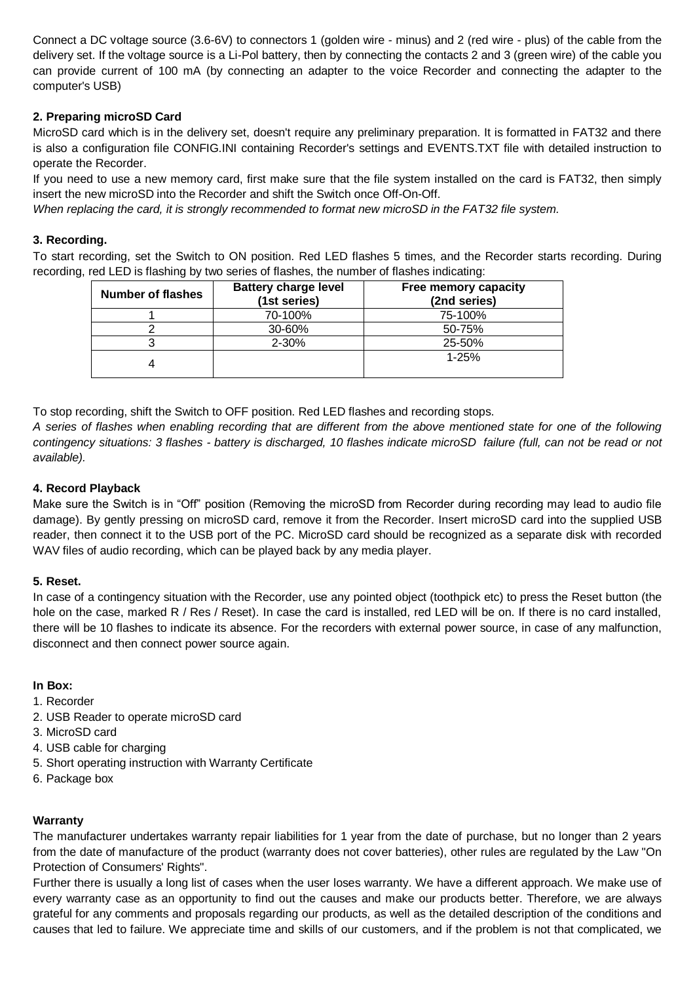Connect a DC voltage source (3.6-6V) to connectors 1 (golden wire - minus) and 2 (red wire - plus) of the cable from the delivery set. If the voltage source is a Li-Pol battery, then by connecting the contacts 2 and 3 (green wire) of the cable you can provide current of 100 mA (by connecting an adapter to the voice Recorder and connecting the adapter to the computer's USB)

# **2. Preparing microSD Card**

MicroSD card which is in the delivery set, doesn't require any preliminary preparation. It is formatted in FAT32 and there is also a configuration file CONFIG.INI containing Recorder's settings and EVENTS.TXT file with detailed instruction to operate the Recorder.

If you need to use a new memory card, first make sure that the file system installed on the card is FAT32, then simply insert the new microSD into the Recorder and shift the Switch once Off-On-Off.

*When replacing the card, it is strongly recommended to format new microSD in the FAT32 file system.*

# **3. Recording.**

To start recording, set the Switch to ON position. Red LED flashes 5 times, and the Recorder starts recording. During recording, red LED is flashing by two series of flashes, the number of flashes indicating:

| <b>Number of flashes</b> | <b>Battery charge level</b><br>(1st series) | Free memory capacity<br>(2nd series) |
|--------------------------|---------------------------------------------|--------------------------------------|
|                          | 70-100%                                     | 75-100%                              |
|                          | 30-60%                                      | 50-75%                               |
|                          | $2 - 30%$                                   | 25-50%                               |
|                          |                                             | $1 - 25%$                            |

To stop recording, shift the Switch to OFF position. Red LED flashes and recording stops.

*A series of flashes when enabling recording that are different from the above mentioned state for one of the following contingency situations: 3 flashes - battery is discharged, 10 flashes indicate microSD failure (full, can not be read or not available).*

# **4. Record Playback**

Make sure the Switch is in "Off" position (Removing the microSD from Recorder during recording may lead to audio file damage). By gently pressing on microSD card, remove it from the Recorder. Insert microSD card into the supplied USB reader, then connect it to the USB port of the PC. MicroSD card should be recognized as a separate disk with recorded WAV files of audio recording, which can be played back by any media player.

### **5. Reset.**

In case of a contingency situation with the Recorder, use any pointed object (toothpick etc) to press the Reset button (the hole on the case, marked R / Res / Reset). In case the card is installed, red LED will be on. If there is no card installed, there will be 10 flashes to indicate its absence. For the recorders with external power source, in case of any malfunction, disconnect and then connect power source again.

### **In Box:**

- 1. Recorder
- 2. USB Reader to operate microSD card
- 3. MicroSD card
- 4. USB cable for charging
- 5. Short operating instruction with Warranty Certificate
- 6. Package box

### **Warranty**

The manufacturer undertakes warranty repair liabilities for 1 year from the date of purchase, but no longer than 2 years from the date of manufacture of the product (warranty does not cover batteries), other rules are regulated by the Law "On Protection of Consumers' Rights".

Further there is usually a long list of cases when the user loses warranty. We have a different approach. We make use of every warranty case as an opportunity to find out the causes and make our products better. Therefore, we are always grateful for any comments and proposals regarding our products, as well as the detailed description of the conditions and causes that led to failure. We appreciate time and skills of our customers, and if the problem is not that complicated, we